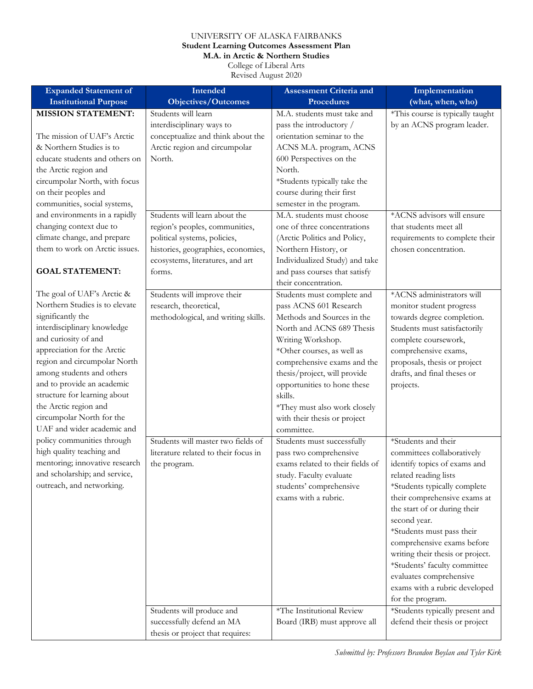## UNIVERSITY OF ALASKA FAIRBANKS **Student Learning Outcomes Assessment Plan M.A. in Arctic & Northern Studies**

College of Liberal Arts

Revised August 2020

| <b>Expanded Statement of</b>                        | Intended                                         | <b>Assessment Criteria and</b>                         | Implementation                                                 |
|-----------------------------------------------------|--------------------------------------------------|--------------------------------------------------------|----------------------------------------------------------------|
| <b>Institutional Purpose</b>                        | <b>Objectives/Outcomes</b>                       | <b>Procedures</b>                                      | (what, when, who)                                              |
| <b>MISSION STATEMENT:</b>                           | Students will learn<br>interdisciplinary ways to | M.A. students must take and<br>pass the introductory / | *This course is typically taught<br>by an ACNS program leader. |
| The mission of UAF's Arctic                         | conceptualize and think about the                | orientation seminar to the                             |                                                                |
| & Northern Studies is to                            | Arctic region and circumpolar                    | ACNS M.A. program, ACNS                                |                                                                |
| educate students and others on                      | North.                                           | 600 Perspectives on the                                |                                                                |
| the Arctic region and                               |                                                  | North.                                                 |                                                                |
| circumpolar North, with focus                       |                                                  | *Students typically take the                           |                                                                |
| on their peoples and                                |                                                  | course during their first                              |                                                                |
| communities, social systems,                        |                                                  | semester in the program.                               |                                                                |
| and environments in a rapidly                       | Students will learn about the                    | M.A. students must choose                              | *ACNS advisors will ensure                                     |
| changing context due to                             | region's peoples, communities,                   | one of three concentrations                            | that students meet all                                         |
| climate change, and prepare                         | political systems, policies,                     | (Arctic Politics and Policy,                           | requirements to complete their                                 |
| them to work on Arctic issues.                      | histories, geographies, economies,               | Northern History, or                                   | chosen concentration.                                          |
|                                                     | ecosystems, literatures, and art                 | Individualized Study) and take                         |                                                                |
| <b>GOAL STATEMENT:</b>                              | forms.                                           | and pass courses that satisfy                          |                                                                |
|                                                     |                                                  | their concentration.                                   |                                                                |
| The goal of UAF's Arctic &                          | Students will improve their                      | Students must complete and                             | *ACNS administrators will                                      |
| Northern Studies is to elevate<br>significantly the | research, theoretical,                           | pass ACNS 601 Research                                 | monitor student progress                                       |
| interdisciplinary knowledge                         | methodological, and writing skills.              | Methods and Sources in the                             | towards degree completion.                                     |
| and curiosity of and                                |                                                  | North and ACNS 689 Thesis<br>Writing Workshop.         | Students must satisfactorily<br>complete coursework,           |
| appreciation for the Arctic                         |                                                  | *Other courses, as well as                             | comprehensive exams,                                           |
| region and circumpolar North                        |                                                  | comprehensive exams and the                            | proposals, thesis or project                                   |
| among students and others                           |                                                  | thesis/project, will provide                           | drafts, and final theses or                                    |
| and to provide an academic                          |                                                  | opportunities to hone these                            | projects.                                                      |
| structure for learning about                        |                                                  | skills.                                                |                                                                |
| the Arctic region and                               |                                                  | *They must also work closely                           |                                                                |
| circumpolar North for the                           |                                                  | with their thesis or project                           |                                                                |
| UAF and wider academic and                          |                                                  | committee.                                             |                                                                |
| policy communities through                          | Students will master two fields of               | Students must successfully                             | *Students and their                                            |
| high quality teaching and                           | literature related to their focus in             | pass two comprehensive                                 | committees collaboratively                                     |
| mentoring; innovative research                      | the program.                                     | exams related to their fields of                       | identify topics of exams and                                   |
| and scholarship; and service,                       |                                                  | study. Faculty evaluate                                | related reading lists                                          |
| outreach, and networking.                           |                                                  | students' comprehensive                                | *Students typically complete                                   |
|                                                     |                                                  | exams with a rubric.                                   | their comprehensive exams at                                   |
|                                                     |                                                  |                                                        | the start of or during their                                   |
|                                                     |                                                  |                                                        | second year.                                                   |
|                                                     |                                                  |                                                        | *Students must pass their<br>comprehensive exams before        |
|                                                     |                                                  |                                                        | writing their thesis or project.                               |
|                                                     |                                                  |                                                        | *Students' faculty committee                                   |
|                                                     |                                                  |                                                        | evaluates comprehensive                                        |
|                                                     |                                                  |                                                        | exams with a rubric developed                                  |
|                                                     |                                                  |                                                        | for the program.                                               |
|                                                     | Students will produce and                        | *The Institutional Review                              | *Students typically present and                                |
|                                                     | successfully defend an MA                        | Board (IRB) must approve all                           | defend their thesis or project                                 |
|                                                     | thesis or project that requires:                 |                                                        |                                                                |